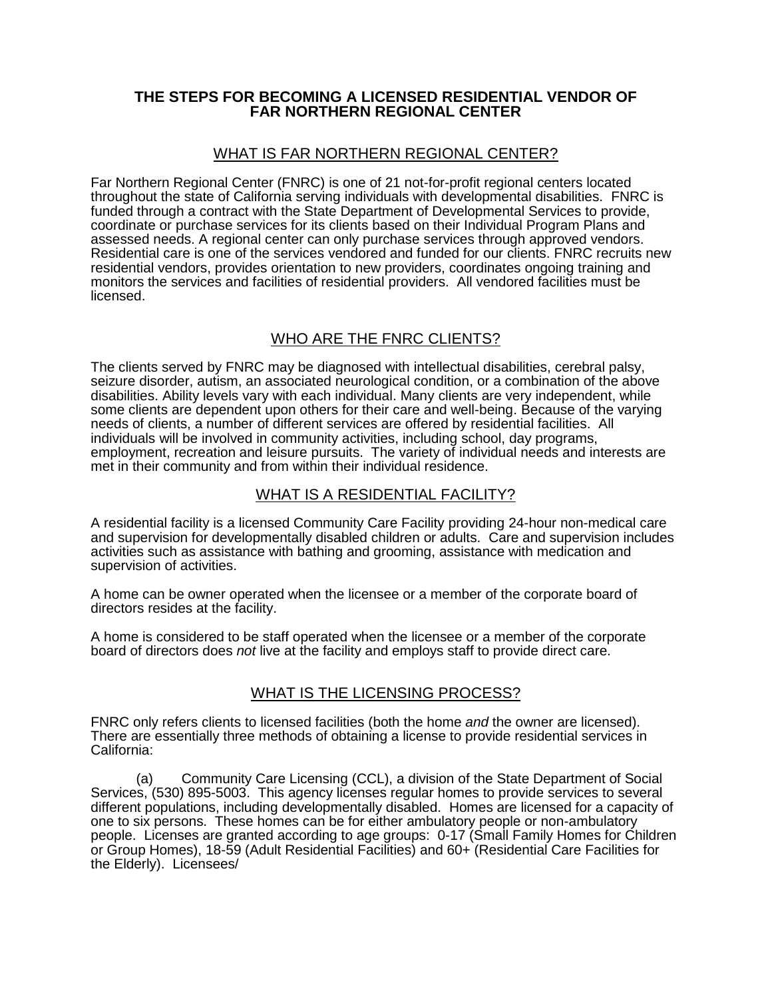### **THE STEPS FOR BECOMING A LICENSED RESIDENTIAL VENDOR OF FAR NORTHERN REGIONAL CENTER**

## WHAT IS FAR NORTHERN REGIONAL CENTER?

Far Northern Regional Center (FNRC) is one of 21 not-for-profit regional centers located throughout the state of California serving individuals with developmental disabilities. FNRC is funded through a contract with the State Department of Developmental Services to provide, coordinate or purchase services for its clients based on their Individual Program Plans and assessed needs. A regional center can only purchase services through approved vendors. Residential care is one of the services vendored and funded for our clients. FNRC recruits new residential vendors, provides orientation to new providers, coordinates ongoing training and monitors the services and facilities of residential providers. All vendored facilities must be licensed.

# WHO ARE THE FNRC CLIENTS?

The clients served by FNRC may be diagnosed with intellectual disabilities, cerebral palsy, seizure disorder, autism, an associated neurological condition, or a combination of the above disabilities. Ability levels vary with each individual. Many clients are very independent, while some clients are dependent upon others for their care and well-being. Because of the varying needs of clients, a number of different services are offered by residential facilities. All individuals will be involved in community activities, including school, day programs, employment, recreation and leisure pursuits. The variety of individual needs and interests are met in their community and from within their individual residence.

## WHAT IS A RESIDENTIAL FACILITY?

A residential facility is a licensed Community Care Facility providing 24-hour non-medical care and supervision for developmentally disabled children or adults. Care and supervision includes activities such as assistance with bathing and grooming, assistance with medication and supervision of activities.

A home can be owner operated when the licensee or a member of the corporate board of directors resides at the facility.

A home is considered to be staff operated when the licensee or a member of the corporate board of directors does *not* live at the facility and employs staff to provide direct care.

## WHAT IS THE LICENSING PROCESS?

FNRC only refers clients to licensed facilities (both the home *and* the owner are licensed). There are essentially three methods of obtaining a license to provide residential services in California:

(a) Community Care Licensing (CCL), a division of the State Department of Social Services, (530) 895-5003. This agency licenses regular homes to provide services to several different populations, including developmentally disabled. Homes are licensed for a capacity of one to six persons. These homes can be for either ambulatory people or non-ambulatory people. Licenses are granted according to age groups: 0-17 (Small Family Homes for Children or Group Homes), 18-59 (Adult Residential Facilities) and 60+ (Residential Care Facilities for the Elderly). Licensees/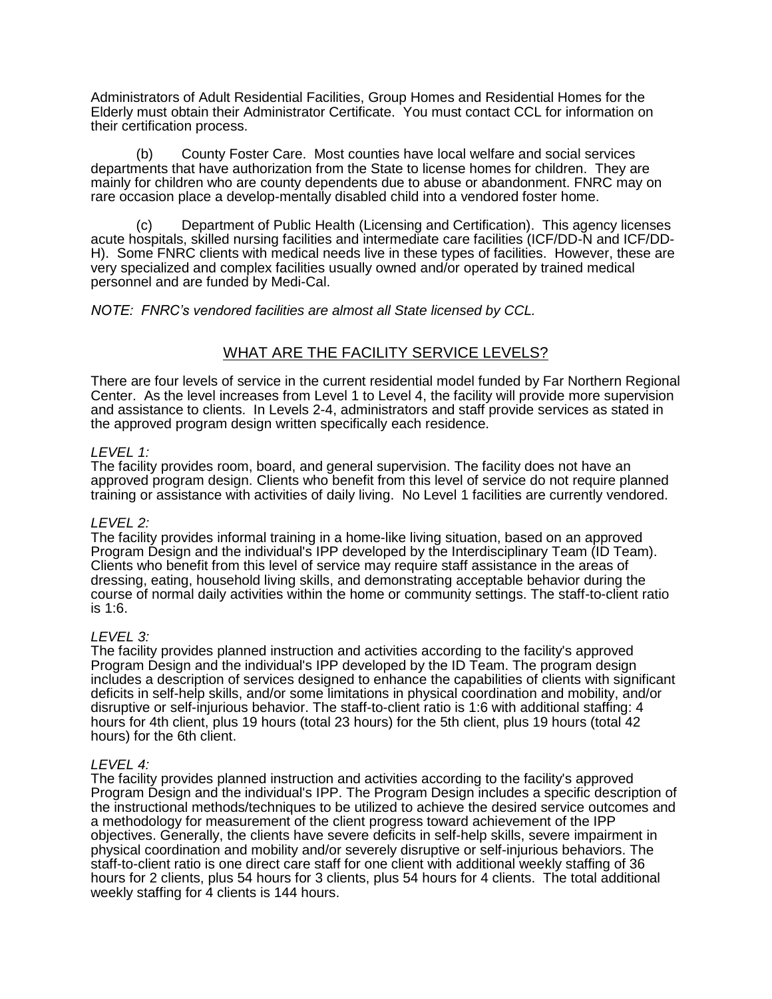Administrators of Adult Residential Facilities, Group Homes and Residential Homes for the Elderly must obtain their Administrator Certificate. You must contact CCL for information on their certification process.

(b) County Foster Care. Most counties have local welfare and social services departments that have authorization from the State to license homes for children. They are mainly for children who are county dependents due to abuse or abandonment. FNRC may on rare occasion place a develop-mentally disabled child into a vendored foster home.

(c) Department of Public Health (Licensing and Certification). This agency licenses acute hospitals, skilled nursing facilities and intermediate care facilities (ICF/DD-N and ICF/DD-H). Some FNRC clients with medical needs live in these types of facilities. However, these are very specialized and complex facilities usually owned and/or operated by trained medical personnel and are funded by Medi-Cal.

#### *NOTE: FNRC's vendored facilities are almost all State licensed by CCL.*

## WHAT ARE THE FACILITY SERVICE LEVELS?

There are four levels of service in the current residential model funded by Far Northern Regional Center. As the level increases from Level 1 to Level 4, the facility will provide more supervision and assistance to clients. In Levels 2-4, administrators and staff provide services as stated in the approved program design written specifically each residence.

#### *LEVEL 1:*

The facility provides room, board, and general supervision. The facility does not have an approved program design. Clients who benefit from this level of service do not require planned training or assistance with activities of daily living. No Level 1 facilities are currently vendored.

#### *LEVEL 2:*

The facility provides informal training in a home-like living situation, based on an approved Program Design and the individual's IPP developed by the Interdisciplinary Team (ID Team). Clients who benefit from this level of service may require staff assistance in the areas of dressing, eating, household living skills, and demonstrating acceptable behavior during the course of normal daily activities within the home or community settings. The staff-to-client ratio is 1:6.

#### *LEVEL 3:*

The facility provides planned instruction and activities according to the facility's approved Program Design and the individual's IPP developed by the ID Team. The program design includes a description of services designed to enhance the capabilities of clients with significant deficits in self-help skills, and/or some limitations in physical coordination and mobility, and/or disruptive or self-injurious behavior. The staff-to-client ratio is 1:6 with additional staffing: 4 hours for 4th client, plus 19 hours (total 23 hours) for the 5th client, plus 19 hours (total 42 hours) for the 6th client.

#### *LEVEL 4:*

The facility provides planned instruction and activities according to the facility's approved Program Design and the individual's IPP. The Program Design includes a specific description of the instructional methods/techniques to be utilized to achieve the desired service outcomes and a methodology for measurement of the client progress toward achievement of the IPP objectives. Generally, the clients have severe deficits in self-help skills, severe impairment in physical coordination and mobility and/or severely disruptive or self-injurious behaviors. The staff-to-client ratio is one direct care staff for one client with additional weekly staffing of 36 hours for 2 clients, plus 54 hours for 3 clients, plus 54 hours for 4 clients. The total additional weekly staffing for 4 clients is 144 hours.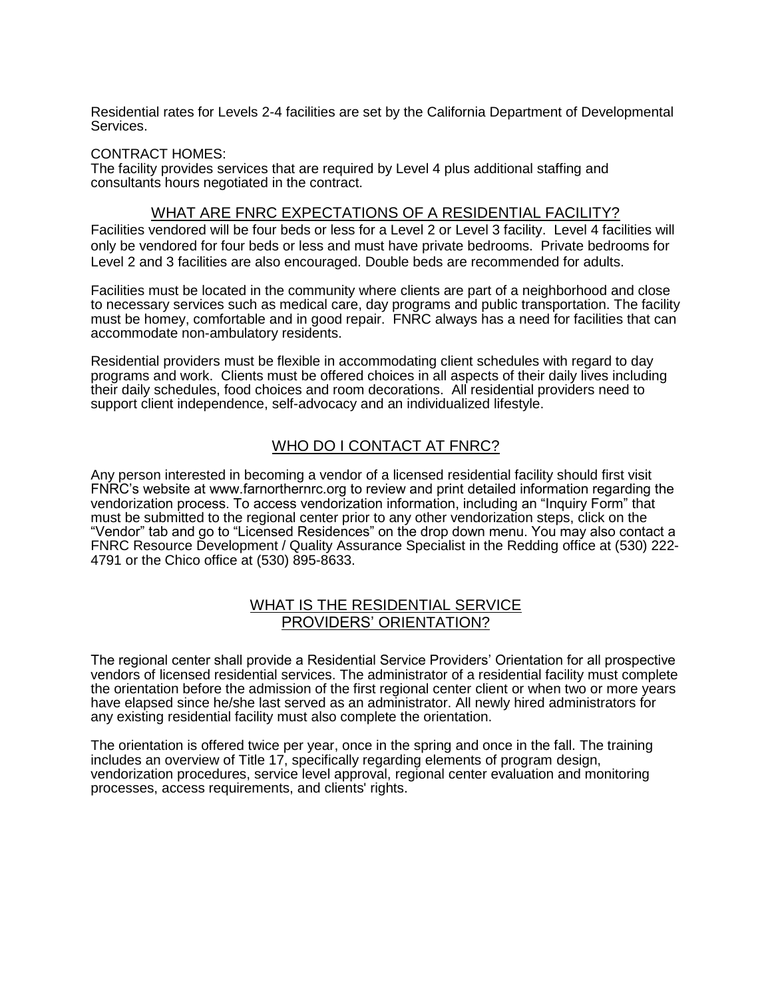Residential rates for Levels 2-4 facilities are set by the California Department of Developmental Services.

#### CONTRACT HOMES:

The facility provides services that are required by Level 4 plus additional staffing and consultants hours negotiated in the contract.

### WHAT ARE FNRC EXPECTATIONS OF A RESIDENTIAL FACILITY?

Facilities vendored will be four beds or less for a Level 2 or Level 3 facility. Level 4 facilities will only be vendored for four beds or less and must have private bedrooms. Private bedrooms for Level 2 and 3 facilities are also encouraged. Double beds are recommended for adults.

Facilities must be located in the community where clients are part of a neighborhood and close to necessary services such as medical care, day programs and public transportation. The facility must be homey, comfortable and in good repair. FNRC always has a need for facilities that can accommodate non-ambulatory residents.

Residential providers must be flexible in accommodating client schedules with regard to day programs and work. Clients must be offered choices in all aspects of their daily lives including their daily schedules, food choices and room decorations. All residential providers need to support client independence, self-advocacy and an individualized lifestyle.

## WHO DO I CONTACT AT FNRC?

Any person interested in becoming a vendor of a licensed residential facility should first visit FNRC's website at www.farnorthernrc.org to review and print detailed information regarding the vendorization process. To access vendorization information, including an "Inquiry Form" that must be submitted to the regional center prior to any other vendorization steps, click on the "Vendor" tab and go to "Licensed Residences" on the drop down menu. You may also contact a FNRC Resource Development / Quality Assurance Specialist in the Redding office at (530) 222- 4791 or the Chico office at (530) 895-8633.

### WHAT IS THE RESIDENTIAL SERVICE PROVIDERS' ORIENTATION?

The regional center shall provide a Residential Service Providers' Orientation for all prospective vendors of licensed residential services. The administrator of a residential facility must complete the orientation before the admission of the first regional center client or when two or more years have elapsed since he/she last served as an administrator. All newly hired administrators for any existing residential facility must also complete the orientation.

The orientation is offered twice per year, once in the spring and once in the fall. The training includes an overview of Title 17, specifically regarding elements of program design, vendorization procedures, service level approval, regional center evaluation and monitoring processes, access requirements, and clients' rights.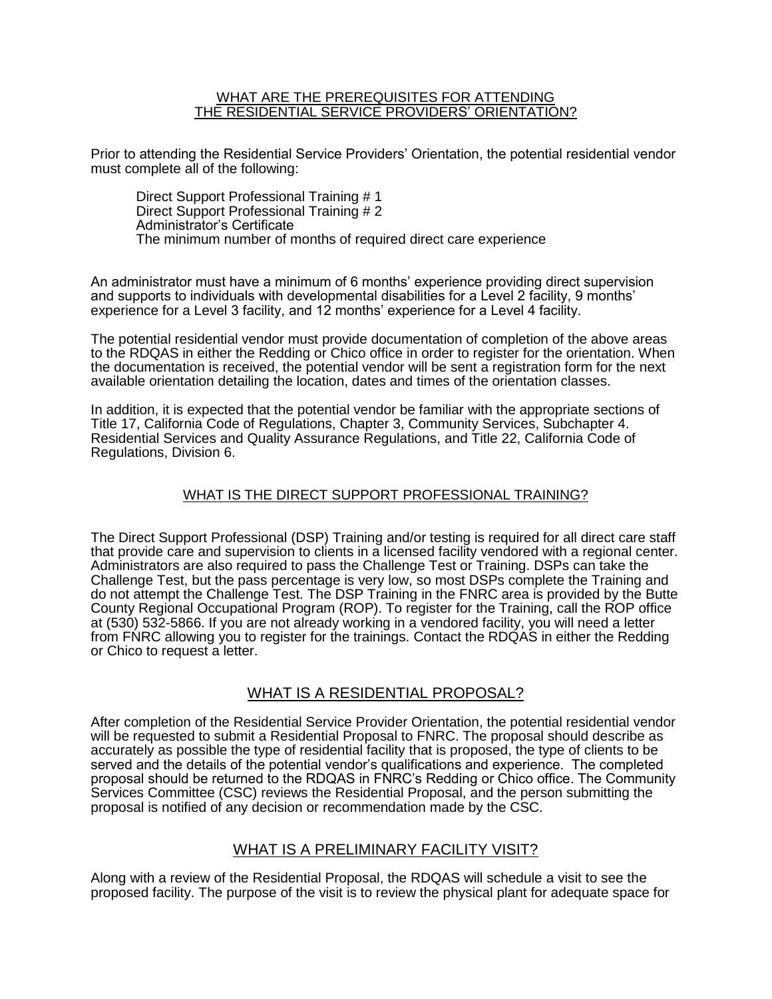#### WHAT ARE THE PREREQUISITES FOR ATTENDING THE RESIDENTIAL SERVICE PROVIDERS' ORIENTATION?

Prior to attending the Residential Service Providers' Orientation, the potential residential vendor must complete all of the following:

Direct Support Professional Training # 1 Direct Support Professional Training # 2 Administrator's Certificate The minimum number of months of required direct care experience

An administrator must have a minimum of 6 months' experience providing direct supervision and supports to individuals with developmental disabilities for a Level 2 facility, 9 months' experience for a Level 3 facility, and 12 months' experience for a Level 4 facility.

The potential residential vendor must provide documentation of completion of the above areas to the RDQAS in either the Redding or Chico office in order to register for the orientation. When the documentation is received, the potential vendor will be sent a registration form for the next available orientation detailing the location, dates and times of the orientation classes.

In addition, it is expected that the potential vendor be familiar with the appropriate sections of Title 17, California Code of Regulations, Chapter 3, Community Services, Subchapter 4. Residential Services and Quality Assurance Regulations, and Title 22, California Code of Regulations, Division 6.

## WHAT IS THE DIRECT SUPPORT PROFESSIONAL TRAINING?

The Direct Support Professional (DSP) Training and/or testing is required for all direct care staff that provide care and supervision to clients in a licensed facility vendored with a regional center. Administrators are also required to pass the Challenge Test or Training. DSPs can take the Challenge Test, but the pass percentage is very low, so most DSPs complete the Training and do not attempt the Challenge Test. The DSP Training in the FNRC area is provided by the Butte County Regional Occupational Program (ROP). To register for the Training, call the ROP office at (530) 532-5866. If you are not already working in a vendored facility, you will need a letter from FNRC allowing you to register for the trainings. Contact the RDQAS in either the Redding or Chico to request a letter.

## WHAT IS A RESIDENTIAL PROPOSAL?

After completion of the Residential Service Provider Orientation, the potential residential vendor will be requested to submit a Residential Proposal to FNRC. The proposal should describe as accurately as possible the type of residential facility that is proposed, the type of clients to be served and the details of the potential vendor's qualifications and experience. The completed proposal should be returned to the RDQAS in FNRC's Redding or Chico office. The Community Services Committee (CSC) reviews the Residential Proposal, and the person submitting the proposal is notified of any decision or recommendation made by the CSC.

## WHAT IS A PRELIMINARY FACILITY VISIT?

Along with a review of the Residential Proposal, the RDQAS will schedule a visit to see the proposed facility. The purpose of the visit is to review the physical plant for adequate space for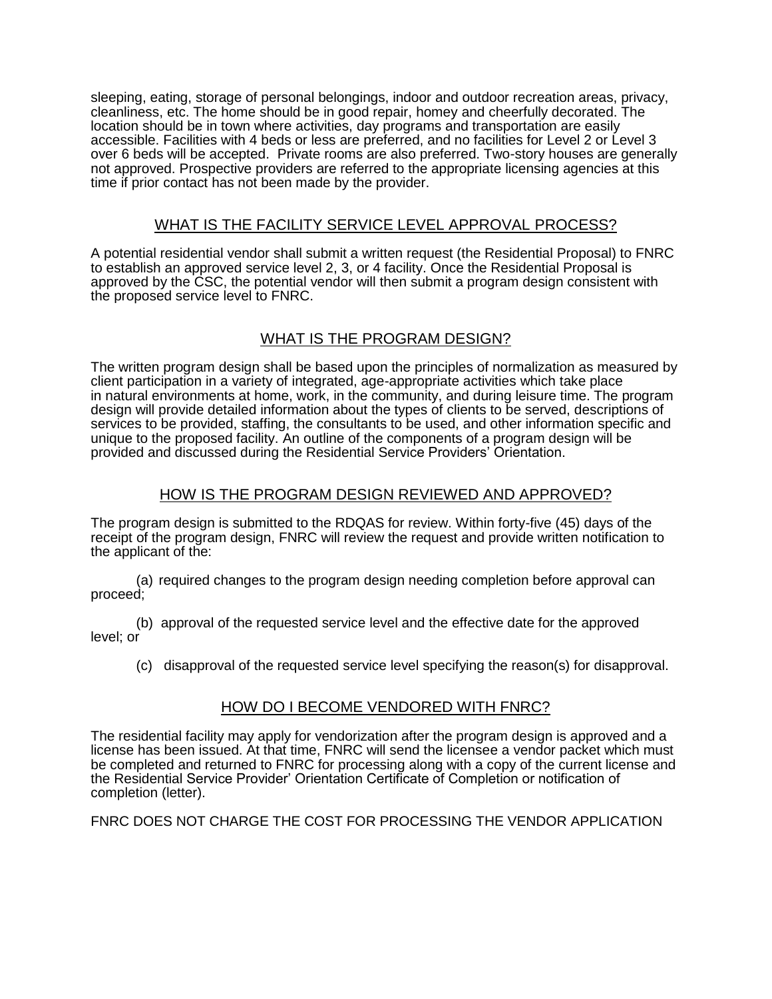sleeping, eating, storage of personal belongings, indoor and outdoor recreation areas, privacy, cleanliness, etc. The home should be in good repair, homey and cheerfully decorated. The location should be in town where activities, day programs and transportation are easily accessible. Facilities with 4 beds or less are preferred, and no facilities for Level 2 or Level 3 over 6 beds will be accepted. Private rooms are also preferred. Two-story houses are generally not approved. Prospective providers are referred to the appropriate licensing agencies at this time if prior contact has not been made by the provider.

## WHAT IS THE FACILITY SERVICE LEVEL APPROVAL PROCESS?

A potential residential vendor shall submit a written request (the Residential Proposal) to FNRC to establish an approved service level 2, 3, or 4 facility. Once the Residential Proposal is approved by the CSC, the potential vendor will then submit a program design consistent with the proposed service level to FNRC.

# WHAT IS THE PROGRAM DESIGN?

The written program design shall be based upon the principles of normalization as measured by client participation in a variety of integrated, age-appropriate activities which take place in natural environments at home, work, in the community, and during leisure time. The program design will provide detailed information about the types of clients to be served, descriptions of services to be provided, staffing, the consultants to be used, and other information specific and unique to the proposed facility. An outline of the components of a program design will be provided and discussed during the Residential Service Providers' Orientation.

# HOW IS THE PROGRAM DESIGN REVIEWED AND APPROVED?

The program design is submitted to the RDQAS for review. Within forty-five (45) days of the receipt of the program design, FNRC will review the request and provide written notification to the applicant of the:

(a) required changes to the program design needing completion before approval can proceed;

(b) approval of the requested service level and the effective date for the approved level; or

(c) disapproval of the requested service level specifying the reason(s) for disapproval.

## HOW DO I BECOME VENDORED WITH FNRC?

The residential facility may apply for vendorization after the program design is approved and a license has been issued. At that time, FNRC will send the licensee a vendor packet which must be completed and returned to FNRC for processing along with a copy of the current license and the Residential Service Provider' Orientation Certificate of Completion or notification of completion (letter).

FNRC DOES NOT CHARGE THE COST FOR PROCESSING THE VENDOR APPLICATION